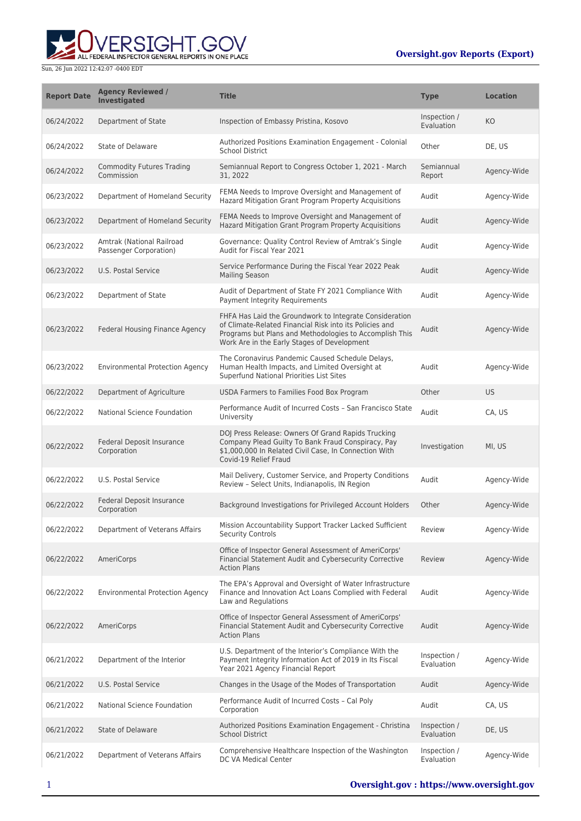ERSIGHT.GOV ALL FEDERAL INSPECTOR GENERAL REPORTS IN ONE PLACE

| <b>Report Date</b> | <b>Agency Reviewed /</b><br><b>Investigated</b>     | <b>Title</b>                                                                                                                                                                                                                 | <b>Type</b>                | <b>Location</b> |
|--------------------|-----------------------------------------------------|------------------------------------------------------------------------------------------------------------------------------------------------------------------------------------------------------------------------------|----------------------------|-----------------|
| 06/24/2022         | Department of State                                 | Inspection of Embassy Pristina, Kosovo                                                                                                                                                                                       | Inspection /<br>Evaluation | KO              |
| 06/24/2022         | State of Delaware                                   | Authorized Positions Examination Engagement - Colonial<br><b>School District</b>                                                                                                                                             | Other                      | DE, US          |
| 06/24/2022         | <b>Commodity Futures Trading</b><br>Commission      | Semiannual Report to Congress October 1, 2021 - March<br>31, 2022                                                                                                                                                            | Semiannual<br>Report       | Agency-Wide     |
| 06/23/2022         | Department of Homeland Security                     | FEMA Needs to Improve Oversight and Management of<br>Hazard Mitigation Grant Program Property Acquisitions                                                                                                                   | Audit                      | Agency-Wide     |
| 06/23/2022         | Department of Homeland Security                     | FEMA Needs to Improve Oversight and Management of<br>Hazard Mitigation Grant Program Property Acquisitions                                                                                                                   | Audit                      | Agency-Wide     |
| 06/23/2022         | Amtrak (National Railroad<br>Passenger Corporation) | Governance: Quality Control Review of Amtrak's Single<br>Audit for Fiscal Year 2021                                                                                                                                          | Audit                      | Agency-Wide     |
| 06/23/2022         | U.S. Postal Service                                 | Service Performance During the Fiscal Year 2022 Peak<br><b>Mailing Season</b>                                                                                                                                                | Audit                      | Agency-Wide     |
| 06/23/2022         | Department of State                                 | Audit of Department of State FY 2021 Compliance With<br>Payment Integrity Requirements                                                                                                                                       | Audit                      | Agency-Wide     |
| 06/23/2022         | <b>Federal Housing Finance Agency</b>               | FHFA Has Laid the Groundwork to Integrate Consideration<br>of Climate-Related Financial Risk into its Policies and<br>Programs but Plans and Methodologies to Accomplish This<br>Work Are in the Early Stages of Development | Audit                      | Agency-Wide     |
| 06/23/2022         | <b>Environmental Protection Agency</b>              | The Coronavirus Pandemic Caused Schedule Delays,<br>Human Health Impacts, and Limited Oversight at<br>Superfund National Priorities List Sites                                                                               | Audit                      | Agency-Wide     |
| 06/22/2022         | Department of Agriculture                           | USDA Farmers to Families Food Box Program                                                                                                                                                                                    | Other                      | US              |
| 06/22/2022         | National Science Foundation                         | Performance Audit of Incurred Costs - San Francisco State<br>University                                                                                                                                                      | Audit                      | CA, US          |
| 06/22/2022         | Federal Deposit Insurance<br>Corporation            | DOJ Press Release: Owners Of Grand Rapids Trucking<br>Company Plead Guilty To Bank Fraud Conspiracy, Pay<br>\$1,000,000 In Related Civil Case, In Connection With<br>Covid-19 Relief Fraud                                   | Investigation              | MI, US          |
| 06/22/2022         | U.S. Postal Service                                 | Mail Delivery, Customer Service, and Property Conditions<br>Review - Select Units, Indianapolis, IN Region                                                                                                                   | Audit                      | Agency-Wide     |
| 06/22/2022         | Federal Deposit Insurance<br>Corporation            | Background Investigations for Privileged Account Holders                                                                                                                                                                     | Other                      | Agency-Wide     |
| 06/22/2022         | Department of Veterans Affairs                      | Mission Accountability Support Tracker Lacked Sufficient<br><b>Security Controls</b>                                                                                                                                         | Review                     | Agency-Wide     |
| 06/22/2022         | AmeriCorps                                          | Office of Inspector General Assessment of AmeriCorps'<br>Financial Statement Audit and Cybersecurity Corrective<br><b>Action Plans</b>                                                                                       | Review                     | Agency-Wide     |
| 06/22/2022         | <b>Environmental Protection Agency</b>              | The EPA's Approval and Oversight of Water Infrastructure<br>Finance and Innovation Act Loans Complied with Federal<br>Law and Regulations                                                                                    | Audit                      | Agency-Wide     |
| 06/22/2022         | AmeriCorps                                          | Office of Inspector General Assessment of AmeriCorps'<br>Financial Statement Audit and Cybersecurity Corrective<br><b>Action Plans</b>                                                                                       | Audit                      | Agency-Wide     |
| 06/21/2022         | Department of the Interior                          | U.S. Department of the Interior's Compliance With the<br>Payment Integrity Information Act of 2019 in Its Fiscal<br>Year 2021 Agency Financial Report                                                                        | Inspection /<br>Evaluation | Agency-Wide     |
| 06/21/2022         | U.S. Postal Service                                 | Changes in the Usage of the Modes of Transportation                                                                                                                                                                          | Audit                      | Agency-Wide     |
| 06/21/2022         | National Science Foundation                         | Performance Audit of Incurred Costs - Cal Poly<br>Corporation                                                                                                                                                                | Audit                      | CA, US          |
| 06/21/2022         | State of Delaware                                   | Authorized Positions Examination Engagement - Christina<br><b>School District</b>                                                                                                                                            | Inspection /<br>Evaluation | DE, US          |
| 06/21/2022         | Department of Veterans Affairs                      | Comprehensive Healthcare Inspection of the Washington<br>DC VA Medical Center                                                                                                                                                | Inspection /<br>Evaluation | Agency-Wide     |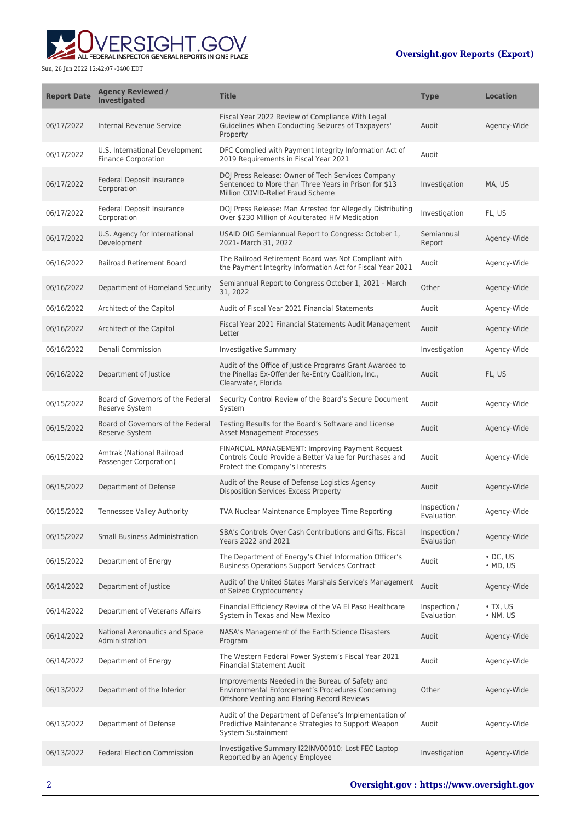

| <b>Report Date</b> | <b>Agency Reviewed /</b><br><b>Investigated</b>              | <b>Title</b>                                                                                                                                        | <b>Type</b>                | <b>Location</b>                    |
|--------------------|--------------------------------------------------------------|-----------------------------------------------------------------------------------------------------------------------------------------------------|----------------------------|------------------------------------|
| 06/17/2022         | Internal Revenue Service                                     | Fiscal Year 2022 Review of Compliance With Legal<br>Guidelines When Conducting Seizures of Taxpayers'<br>Property                                   | Audit                      | Agency-Wide                        |
| 06/17/2022         | U.S. International Development<br><b>Finance Corporation</b> | DFC Complied with Payment Integrity Information Act of<br>2019 Requirements in Fiscal Year 2021                                                     | Audit                      |                                    |
| 06/17/2022         | <b>Federal Deposit Insurance</b><br>Corporation              | DOJ Press Release: Owner of Tech Services Company<br>Sentenced to More than Three Years in Prison for \$13<br>Million COVID-Relief Fraud Scheme     | Investigation              | MA, US                             |
| 06/17/2022         | Federal Deposit Insurance<br>Corporation                     | DOJ Press Release: Man Arrested for Allegedly Distributing<br>Over \$230 Million of Adulterated HIV Medication                                      | Investigation              | FL, US                             |
| 06/17/2022         | U.S. Agency for International<br>Development                 | USAID OIG Semiannual Report to Congress: October 1,<br>2021- March 31, 2022                                                                         | Semiannual<br>Report       | Agency-Wide                        |
| 06/16/2022         | <b>Railroad Retirement Board</b>                             | The Railroad Retirement Board was Not Compliant with<br>the Payment Integrity Information Act for Fiscal Year 2021                                  | Audit                      | Agency-Wide                        |
| 06/16/2022         | Department of Homeland Security                              | Semiannual Report to Congress October 1, 2021 - March<br>31, 2022                                                                                   | Other                      | Agency-Wide                        |
| 06/16/2022         | Architect of the Capitol                                     | Audit of Fiscal Year 2021 Financial Statements                                                                                                      | Audit                      | Agency-Wide                        |
| 06/16/2022         | Architect of the Capitol                                     | Fiscal Year 2021 Financial Statements Audit Management<br>Letter                                                                                    | Audit                      | Agency-Wide                        |
| 06/16/2022         | Denali Commission                                            | <b>Investigative Summary</b>                                                                                                                        | Investigation              | Agency-Wide                        |
| 06/16/2022         | Department of Justice                                        | Audit of the Office of Justice Programs Grant Awarded to<br>the Pinellas Ex-Offender Re-Entry Coalition, Inc.,<br>Clearwater, Florida               | Audit                      | FL, US                             |
| 06/15/2022         | Board of Governors of the Federal<br>Reserve System          | Security Control Review of the Board's Secure Document<br>System                                                                                    | Audit                      | Agency-Wide                        |
| 06/15/2022         | Board of Governors of the Federal<br>Reserve System          | Testing Results for the Board's Software and License<br><b>Asset Management Processes</b>                                                           | Audit                      | Agency-Wide                        |
| 06/15/2022         | Amtrak (National Railroad<br>Passenger Corporation)          | FINANCIAL MANAGEMENT: Improving Payment Request<br>Controls Could Provide a Better Value for Purchases and<br>Protect the Company's Interests       | Audit                      | Agency-Wide                        |
| 06/15/2022         | Department of Defense                                        | Audit of the Reuse of Defense Logistics Agency<br>Disposition Services Excess Property                                                              | Audit                      | Agency-Wide                        |
| 06/15/2022         | <b>Tennessee Valley Authority</b>                            | TVA Nuclear Maintenance Employee Time Reporting                                                                                                     | Inspection /<br>Evaluation | Agency-Wide                        |
| 06/15/2022         | <b>Small Business Administration</b>                         | SBA's Controls Over Cash Contributions and Gifts, Fiscal<br>Years 2022 and 2021                                                                     | Inspection /<br>Evaluation | Agency-Wide                        |
| 06/15/2022         | Department of Energy                                         | The Department of Energy's Chief Information Officer's<br><b>Business Operations Support Services Contract</b>                                      | Audit                      | $\cdot$ DC, US<br>$\bullet$ MD, US |
| 06/14/2022         | Department of Justice                                        | Audit of the United States Marshals Service's Management<br>of Seized Cryptocurrency                                                                | Audit                      | Agency-Wide                        |
| 06/14/2022         | Department of Veterans Affairs                               | Financial Efficiency Review of the VA El Paso Healthcare<br>System in Texas and New Mexico                                                          | Inspection /<br>Evaluation | $\bullet$ TX, US<br>• NM, US       |
| 06/14/2022         | National Aeronautics and Space<br>Administration             | NASA's Management of the Earth Science Disasters<br>Program                                                                                         | Audit                      | Agency-Wide                        |
| 06/14/2022         | Department of Energy                                         | The Western Federal Power System's Fiscal Year 2021<br><b>Financial Statement Audit</b>                                                             | Audit                      | Agency-Wide                        |
| 06/13/2022         | Department of the Interior                                   | Improvements Needed in the Bureau of Safety and<br>Environmental Enforcement's Procedures Concerning<br>Offshore Venting and Flaring Record Reviews | Other                      | Agency-Wide                        |
| 06/13/2022         | Department of Defense                                        | Audit of the Department of Defense's Implementation of<br>Predictive Maintenance Strategies to Support Weapon<br><b>System Sustainment</b>          | Audit                      | Agency-Wide                        |
| 06/13/2022         | <b>Federal Election Commission</b>                           | Investigative Summary I22INV00010: Lost FEC Laptop<br>Reported by an Agency Employee                                                                | Investigation              | Agency-Wide                        |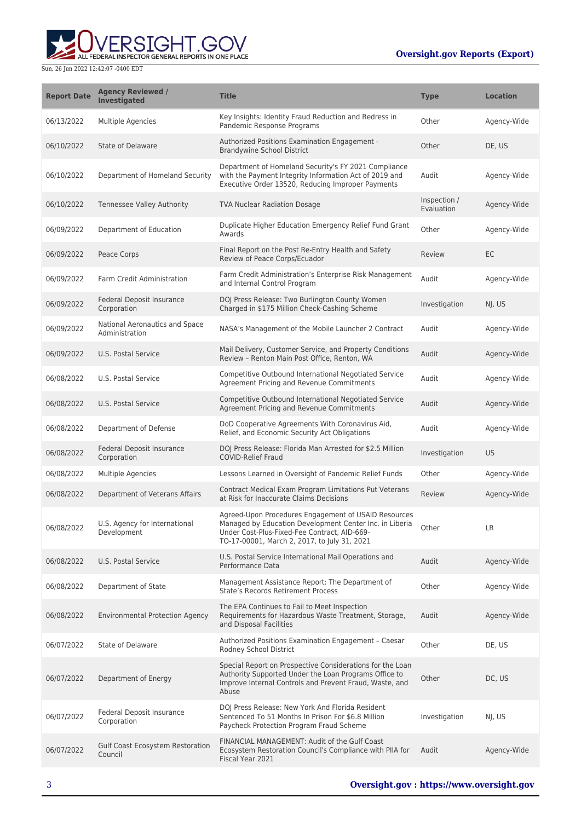

| <b>Report Date</b> | <b>Agency Reviewed /</b><br>Investigated           | <b>Title</b>                                                                                                                                                                                                    | <b>Type</b>                | <b>Location</b> |
|--------------------|----------------------------------------------------|-----------------------------------------------------------------------------------------------------------------------------------------------------------------------------------------------------------------|----------------------------|-----------------|
| 06/13/2022         | <b>Multiple Agencies</b>                           | Key Insights: Identity Fraud Reduction and Redress in<br>Pandemic Response Programs                                                                                                                             | Other                      | Agency-Wide     |
| 06/10/2022         | State of Delaware                                  | Authorized Positions Examination Engagement -<br><b>Brandywine School District</b>                                                                                                                              | Other                      | DE, US          |
| 06/10/2022         | Department of Homeland Security                    | Department of Homeland Security's FY 2021 Compliance<br>with the Payment Integrity Information Act of 2019 and<br>Executive Order 13520, Reducing Improper Payments                                             | Audit                      | Agency-Wide     |
| 06/10/2022         | Tennessee Valley Authority                         | <b>TVA Nuclear Radiation Dosage</b>                                                                                                                                                                             | Inspection /<br>Evaluation | Agency-Wide     |
| 06/09/2022         | Department of Education                            | Duplicate Higher Education Emergency Relief Fund Grant<br>Awards                                                                                                                                                | Other                      | Agency-Wide     |
| 06/09/2022         | Peace Corps                                        | Final Report on the Post Re-Entry Health and Safety<br>Review of Peace Corps/Ecuador                                                                                                                            | Review                     | EC              |
| 06/09/2022         | Farm Credit Administration                         | Farm Credit Administration's Enterprise Risk Management<br>and Internal Control Program                                                                                                                         | Audit                      | Agency-Wide     |
| 06/09/2022         | Federal Deposit Insurance<br>Corporation           | DOJ Press Release: Two Burlington County Women<br>Charged in \$175 Million Check-Cashing Scheme                                                                                                                 | Investigation              | NJ, US          |
| 06/09/2022         | National Aeronautics and Space<br>Administration   | NASA's Management of the Mobile Launcher 2 Contract                                                                                                                                                             | Audit                      | Agency-Wide     |
| 06/09/2022         | U.S. Postal Service                                | Mail Delivery, Customer Service, and Property Conditions<br>Review - Renton Main Post Office, Renton, WA                                                                                                        | Audit                      | Agency-Wide     |
| 06/08/2022         | U.S. Postal Service                                | Competitive Outbound International Negotiated Service<br>Agreement Pricing and Revenue Commitments                                                                                                              | Audit                      | Agency-Wide     |
| 06/08/2022         | U.S. Postal Service                                | Competitive Outbound International Negotiated Service<br>Agreement Pricing and Revenue Commitments                                                                                                              | Audit                      | Agency-Wide     |
| 06/08/2022         | Department of Defense                              | DoD Cooperative Agreements With Coronavirus Aid,<br>Relief, and Economic Security Act Obligations                                                                                                               | Audit                      | Agency-Wide     |
| 06/08/2022         | Federal Deposit Insurance<br>Corporation           | DOJ Press Release: Florida Man Arrested for \$2.5 Million<br><b>COVID-Relief Fraud</b>                                                                                                                          | Investigation              | <b>US</b>       |
| 06/08/2022         | Multiple Agencies                                  | Lessons Learned in Oversight of Pandemic Relief Funds                                                                                                                                                           | Other                      | Agency-Wide     |
| 06/08/2022         | Department of Veterans Affairs                     | Contract Medical Exam Program Limitations Put Veterans<br>at Risk for Inaccurate Claims Decisions                                                                                                               | Review                     | Agency-Wide     |
| 06/08/2022         | U.S. Agency for International<br>Development       | Agreed-Upon Procedures Engagement of USAID Resources<br>Managed by Education Development Center Inc. in Liberia<br>Under Cost-Plus-Fixed-Fee Contract, AID-669-<br>TO-17-00001, March 2, 2017, to July 31, 2021 | Other                      | LR              |
| 06/08/2022         | U.S. Postal Service                                | U.S. Postal Service International Mail Operations and<br>Performance Data                                                                                                                                       | Audit                      | Agency-Wide     |
| 06/08/2022         | Department of State                                | Management Assistance Report: The Department of<br>State's Records Retirement Process                                                                                                                           | Other                      | Agency-Wide     |
| 06/08/2022         | <b>Environmental Protection Agency</b>             | The EPA Continues to Fail to Meet Inspection<br>Requirements for Hazardous Waste Treatment, Storage,<br>and Disposal Facilities                                                                                 | Audit                      | Agency-Wide     |
| 06/07/2022         | State of Delaware                                  | Authorized Positions Examination Engagement - Caesar<br>Rodney School District                                                                                                                                  | Other                      | DE, US          |
| 06/07/2022         | Department of Energy                               | Special Report on Prospective Considerations for the Loan<br>Authority Supported Under the Loan Programs Office to<br>Improve Internal Controls and Prevent Fraud, Waste, and<br>Abuse                          | Other                      | DC, US          |
| 06/07/2022         | Federal Deposit Insurance<br>Corporation           | DOJ Press Release: New York And Florida Resident<br>Sentenced To 51 Months In Prison For \$6.8 Million<br>Paycheck Protection Program Fraud Scheme                                                              | Investigation              | NJ, US          |
| 06/07/2022         | <b>Gulf Coast Ecosystem Restoration</b><br>Council | FINANCIAL MANAGEMENT: Audit of the Gulf Coast<br>Ecosystem Restoration Council's Compliance with PIIA for<br>Fiscal Year 2021                                                                                   | Audit                      | Agency-Wide     |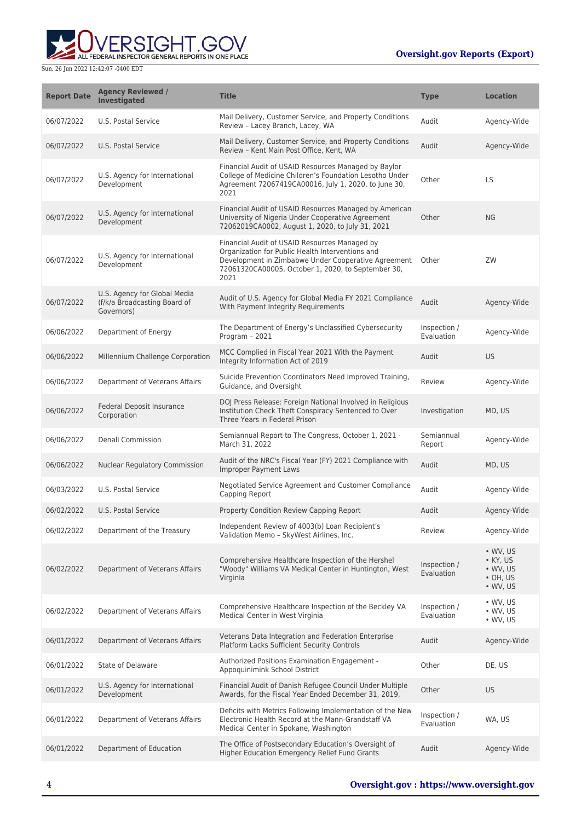

| <b>Report Date</b> | <b>Agency Reviewed /</b><br><b>Investigated</b>                            | <b>Title</b>                                                                                                                                                                                                           | <b>Type</b>                | <b>Location</b>                                                                        |
|--------------------|----------------------------------------------------------------------------|------------------------------------------------------------------------------------------------------------------------------------------------------------------------------------------------------------------------|----------------------------|----------------------------------------------------------------------------------------|
| 06/07/2022         | U.S. Postal Service                                                        | Mail Delivery, Customer Service, and Property Conditions<br>Review - Lacey Branch, Lacey, WA                                                                                                                           | Audit                      | Agency-Wide                                                                            |
| 06/07/2022         | U.S. Postal Service                                                        | Mail Delivery, Customer Service, and Property Conditions<br>Review - Kent Main Post Office, Kent, WA                                                                                                                   | Audit                      | Agency-Wide                                                                            |
| 06/07/2022         | U.S. Agency for International<br>Development                               | Financial Audit of USAID Resources Managed by Baylor<br>College of Medicine Children's Foundation Lesotho Under<br>Agreement 72067419CA00016, July 1, 2020, to June 30,<br>2021                                        | Other                      | <b>LS</b>                                                                              |
| 06/07/2022         | U.S. Agency for International<br>Development                               | Financial Audit of USAID Resources Managed by American<br>University of Nigeria Under Cooperative Agreement<br>72062019CA0002, August 1, 2020, to July 31, 2021                                                        | Other                      | <b>NG</b>                                                                              |
| 06/07/2022         | U.S. Agency for International<br>Development                               | Financial Audit of USAID Resources Managed by<br>Organization for Public Health Interventions and<br>Development in Zimbabwe Under Cooperative Agreement<br>72061320CA00005, October 1, 2020, to September 30,<br>2021 | Other                      | ZW                                                                                     |
| 06/07/2022         | U.S. Agency for Global Media<br>(f/k/a Broadcasting Board of<br>Governors) | Audit of U.S. Agency for Global Media FY 2021 Compliance<br>With Payment Integrity Requirements                                                                                                                        | Audit                      | Agency-Wide                                                                            |
| 06/06/2022         | Department of Energy                                                       | The Department of Energy's Unclassified Cybersecurity<br>Program - 2021                                                                                                                                                | Inspection /<br>Evaluation | Agency-Wide                                                                            |
| 06/06/2022         | Millennium Challenge Corporation                                           | MCC Complied in Fiscal Year 2021 With the Payment<br>Integrity Information Act of 2019                                                                                                                                 | Audit                      | US                                                                                     |
| 06/06/2022         | Department of Veterans Affairs                                             | Suicide Prevention Coordinators Need Improved Training,<br>Guidance, and Oversight                                                                                                                                     | Review                     | Agency-Wide                                                                            |
| 06/06/2022         | <b>Federal Deposit Insurance</b><br>Corporation                            | DOJ Press Release: Foreign National Involved in Religious<br>Institution Check Theft Conspiracy Sentenced to Over<br>Three Years in Federal Prison                                                                     | Investigation              | MD, US                                                                                 |
| 06/06/2022         | Denali Commission                                                          | Semiannual Report to The Congress, October 1, 2021 -<br>March 31, 2022                                                                                                                                                 | Semiannual<br>Report       | Agency-Wide                                                                            |
| 06/06/2022         | Nuclear Regulatory Commission                                              | Audit of the NRC's Fiscal Year (FY) 2021 Compliance with<br>Improper Payment Laws                                                                                                                                      | Audit                      | MD, US                                                                                 |
| 06/03/2022         | U.S. Postal Service                                                        | Negotiated Service Agreement and Customer Compliance<br>Capping Report                                                                                                                                                 | Audit                      | Agency-Wide                                                                            |
| 06/02/2022         | <b>U.S. Postal Service</b>                                                 | Property Condition Review Capping Report                                                                                                                                                                               | Audit                      | Agency-Wide                                                                            |
| 06/02/2022         | Department of the Treasury                                                 | Independent Review of 4003(b) Loan Recipient's<br>Validation Memo - SkyWest Airlines, Inc.                                                                                                                             | Review                     | Agency-Wide                                                                            |
| 06/02/2022         | Department of Veterans Affairs                                             | Comprehensive Healthcare Inspection of the Hershel<br>"Woody" Williams VA Medical Center in Huntington, West<br>Virginia                                                                                               | Inspection /<br>Evaluation | $\bullet$ WV, US<br>• KY, US<br>$\bullet$ WV, US<br>$\cdot$ OH, US<br>$\bullet$ WV, US |
| 06/02/2022         | Department of Veterans Affairs                                             | Comprehensive Healthcare Inspection of the Beckley VA<br>Medical Center in West Virginia                                                                                                                               | Inspection /<br>Evaluation | $\bullet$ WV, US<br>$\cdot$ WV, US<br>$\bullet$ WV, US                                 |
| 06/01/2022         | Department of Veterans Affairs                                             | Veterans Data Integration and Federation Enterprise<br>Platform Lacks Sufficient Security Controls                                                                                                                     | Audit                      | Agency-Wide                                                                            |
| 06/01/2022         | State of Delaware                                                          | Authorized Positions Examination Engagement -<br>Appoquinimink School District                                                                                                                                         | Other                      | DE, US                                                                                 |
| 06/01/2022         | U.S. Agency for International<br>Development                               | Financial Audit of Danish Refugee Council Under Multiple<br>Awards, for the Fiscal Year Ended December 31, 2019,                                                                                                       | Other                      | US.                                                                                    |
| 06/01/2022         | Department of Veterans Affairs                                             | Deficits with Metrics Following Implementation of the New<br>Electronic Health Record at the Mann-Grandstaff VA<br>Medical Center in Spokane, Washington                                                               | Inspection /<br>Evaluation | WA, US                                                                                 |
| 06/01/2022         | Department of Education                                                    | The Office of Postsecondary Education's Oversight of<br>Higher Education Emergency Relief Fund Grants                                                                                                                  | Audit                      | Agency-Wide                                                                            |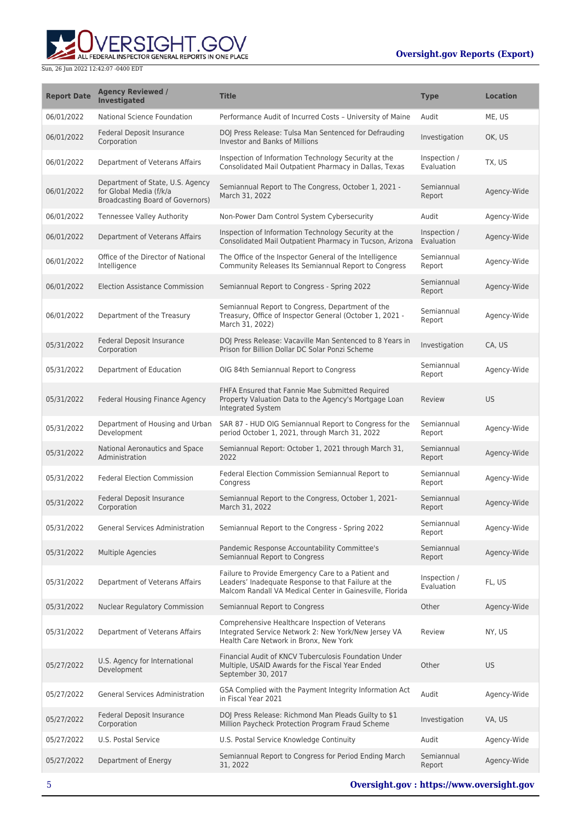**WERSIGHT.GOV** 

| <b>Report Date</b> | <b>Agency Reviewed /</b><br>Investigated                                                               | <b>Title</b>                                                                                                                                                          | <b>Type</b>                | <b>Location</b> |
|--------------------|--------------------------------------------------------------------------------------------------------|-----------------------------------------------------------------------------------------------------------------------------------------------------------------------|----------------------------|-----------------|
| 06/01/2022         | National Science Foundation                                                                            | Performance Audit of Incurred Costs - University of Maine                                                                                                             | Audit                      | ME, US          |
| 06/01/2022         | Federal Deposit Insurance<br>Corporation                                                               | DOJ Press Release: Tulsa Man Sentenced for Defrauding<br><b>Investor and Banks of Millions</b>                                                                        | Investigation              | OK, US          |
| 06/01/2022         | Department of Veterans Affairs                                                                         | Inspection of Information Technology Security at the<br>Consolidated Mail Outpatient Pharmacy in Dallas, Texas                                                        | Inspection /<br>Evaluation | TX, US          |
| 06/01/2022         | Department of State, U.S. Agency<br>for Global Media (f/k/a<br><b>Broadcasting Board of Governors)</b> | Semiannual Report to The Congress, October 1, 2021 -<br>March 31, 2022                                                                                                | Semiannual<br>Report       | Agency-Wide     |
| 06/01/2022         | <b>Tennessee Valley Authority</b>                                                                      | Non-Power Dam Control System Cybersecurity                                                                                                                            | Audit                      | Agency-Wide     |
| 06/01/2022         | Department of Veterans Affairs                                                                         | Inspection of Information Technology Security at the<br>Consolidated Mail Outpatient Pharmacy in Tucson, Arizona                                                      | Inspection /<br>Evaluation | Agency-Wide     |
| 06/01/2022         | Office of the Director of National<br>Intelligence                                                     | The Office of the Inspector General of the Intelligence<br>Community Releases Its Semiannual Report to Congress                                                       | Semiannual<br>Report       | Agency-Wide     |
| 06/01/2022         | <b>Election Assistance Commission</b>                                                                  | Semiannual Report to Congress - Spring 2022                                                                                                                           | Semiannual<br>Report       | Agency-Wide     |
| 06/01/2022         | Department of the Treasury                                                                             | Semiannual Report to Congress, Department of the<br>Treasury, Office of Inspector General (October 1, 2021 -<br>March 31, 2022)                                       | Semiannual<br>Report       | Agency-Wide     |
| 05/31/2022         | Federal Deposit Insurance<br>Corporation                                                               | DOJ Press Release: Vacaville Man Sentenced to 8 Years in<br>Prison for Billion Dollar DC Solar Ponzi Scheme                                                           | Investigation              | CA, US          |
| 05/31/2022         | Department of Education                                                                                | OIG 84th Semiannual Report to Congress                                                                                                                                | Semiannual<br>Report       | Agency-Wide     |
| 05/31/2022         | Federal Housing Finance Agency                                                                         | FHFA Ensured that Fannie Mae Submitted Required<br>Property Valuation Data to the Agency's Mortgage Loan<br>Integrated System                                         | Review                     | <b>US</b>       |
| 05/31/2022         | Department of Housing and Urban<br>Development                                                         | SAR 87 - HUD OIG Semiannual Report to Congress for the<br>period October 1, 2021, through March 31, 2022                                                              | Semiannual<br>Report       | Agency-Wide     |
| 05/31/2022         | National Aeronautics and Space<br>Administration                                                       | Semiannual Report: October 1, 2021 through March 31,<br>2022                                                                                                          | Semiannual<br>Report       | Agency-Wide     |
| 05/31/2022         | <b>Federal Election Commission</b>                                                                     | Federal Election Commission Semiannual Report to<br>Congress                                                                                                          | Semiannual<br>Report       | Agency-Wide     |
| 05/31/2022         | Federal Deposit Insurance<br>Corporation                                                               | Semiannual Report to the Congress, October 1, 2021-<br>March 31, 2022                                                                                                 | Semiannual<br>Report       | Agency-Wide     |
| 05/31/2022         | General Services Administration                                                                        | Semiannual Report to the Congress - Spring 2022                                                                                                                       | Semiannual<br>Report       | Agency-Wide     |
| 05/31/2022         | <b>Multiple Agencies</b>                                                                               | Pandemic Response Accountability Committee's<br>Semiannual Report to Congress                                                                                         | Semiannual<br>Report       | Agency-Wide     |
| 05/31/2022         | Department of Veterans Affairs                                                                         | Failure to Provide Emergency Care to a Patient and<br>Leaders' Inadequate Response to that Failure at the<br>Malcom Randall VA Medical Center in Gainesville, Florida | Inspection /<br>Evaluation | FL, US          |
| 05/31/2022         | Nuclear Regulatory Commission                                                                          | Semiannual Report to Congress                                                                                                                                         | Other                      | Agency-Wide     |
| 05/31/2022         | Department of Veterans Affairs                                                                         | Comprehensive Healthcare Inspection of Veterans<br>Integrated Service Network 2: New York/New Jersey VA<br>Health Care Network in Bronx, New York                     | Review                     | NY, US          |
| 05/27/2022         | U.S. Agency for International<br>Development                                                           | Financial Audit of KNCV Tuberculosis Foundation Under<br>Multiple, USAID Awards for the Fiscal Year Ended<br>September 30, 2017                                       | Other                      | <b>US</b>       |
| 05/27/2022         | <b>General Services Administration</b>                                                                 | GSA Complied with the Payment Integrity Information Act<br>in Fiscal Year 2021                                                                                        | Audit                      | Agency-Wide     |
| 05/27/2022         | Federal Deposit Insurance<br>Corporation                                                               | DOJ Press Release: Richmond Man Pleads Guilty to \$1<br>Million Paycheck Protection Program Fraud Scheme                                                              | Investigation              | VA, US          |
| 05/27/2022         | U.S. Postal Service                                                                                    | U.S. Postal Service Knowledge Continuity                                                                                                                              | Audit                      | Agency-Wide     |
| 05/27/2022         | Department of Energy                                                                                   | Semiannual Report to Congress for Period Ending March<br>31, 2022                                                                                                     | Semiannual<br>Report       | Agency-Wide     |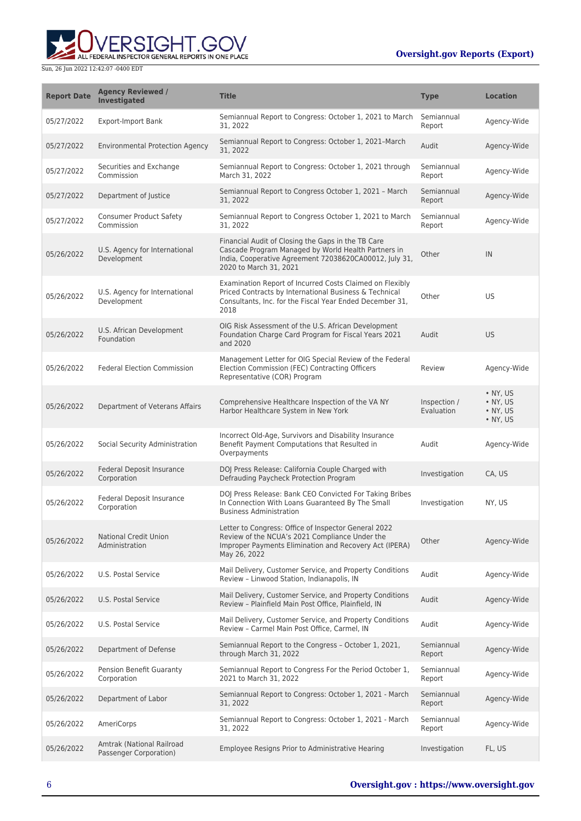

| <b>Report Date</b> | <b>Agency Reviewed /</b><br><b>Investigated</b>     | <b>Title</b>                                                                                                                                                                                  | <b>Type</b>                | <b>Location</b>                                              |
|--------------------|-----------------------------------------------------|-----------------------------------------------------------------------------------------------------------------------------------------------------------------------------------------------|----------------------------|--------------------------------------------------------------|
| 05/27/2022         | <b>Export-Import Bank</b>                           | Semiannual Report to Congress: October 1, 2021 to March<br>31, 2022                                                                                                                           | Semiannual<br>Report       | Agency-Wide                                                  |
| 05/27/2022         | <b>Environmental Protection Agency</b>              | Semiannual Report to Congress: October 1, 2021-March<br>31, 2022                                                                                                                              | Audit                      | Agency-Wide                                                  |
| 05/27/2022         | Securities and Exchange<br>Commission               | Semiannual Report to Congress: October 1, 2021 through<br>March 31, 2022                                                                                                                      | Semiannual<br>Report       | Agency-Wide                                                  |
| 05/27/2022         | Department of Justice                               | Semiannual Report to Congress October 1, 2021 - March<br>31, 2022                                                                                                                             | Semiannual<br>Report       | Agency-Wide                                                  |
| 05/27/2022         | <b>Consumer Product Safety</b><br>Commission        | Semiannual Report to Congress October 1, 2021 to March<br>31, 2022                                                                                                                            | Semiannual<br>Report       | Agency-Wide                                                  |
| 05/26/2022         | U.S. Agency for International<br>Development        | Financial Audit of Closing the Gaps in the TB Care<br>Cascade Program Managed by World Health Partners in<br>India, Cooperative Agreement 72038620CA00012, July 31,<br>2020 to March 31, 2021 | Other                      | IN                                                           |
| 05/26/2022         | U.S. Agency for International<br>Development        | Examination Report of Incurred Costs Claimed on Flexibly<br>Priced Contracts by International Business & Technical<br>Consultants, Inc. for the Fiscal Year Ended December 31,<br>2018        | Other                      | <b>US</b>                                                    |
| 05/26/2022         | U.S. African Development<br>Foundation              | OIG Risk Assessment of the U.S. African Development<br>Foundation Charge Card Program for Fiscal Years 2021<br>and 2020                                                                       | Audit                      | <b>US</b>                                                    |
| 05/26/2022         | <b>Federal Election Commission</b>                  | Management Letter for OIG Special Review of the Federal<br>Election Commission (FEC) Contracting Officers<br>Representative (COR) Program                                                     | Review                     | Agency-Wide                                                  |
| 05/26/2022         | Department of Veterans Affairs                      | Comprehensive Healthcare Inspection of the VA NY<br>Harbor Healthcare System in New York                                                                                                      | Inspection /<br>Evaluation | • NY, US<br>$\bullet$ NY, US<br>• NY, US<br>$\bullet$ NY, US |
| 05/26/2022         | Social Security Administration                      | Incorrect Old-Age, Survivors and Disability Insurance<br>Benefit Payment Computations that Resulted in<br>Overpayments                                                                        | Audit                      | Agency-Wide                                                  |
| 05/26/2022         | Federal Deposit Insurance<br>Corporation            | DOJ Press Release: California Couple Charged with<br>Defrauding Paycheck Protection Program                                                                                                   | Investigation              | CA, US                                                       |
| 05/26/2022         | Federal Deposit Insurance<br>Corporation            | DOJ Press Release: Bank CEO Convicted For Taking Bribes<br>In Connection With Loans Guaranteed By The Small<br><b>Business Administration</b>                                                 | Investigation              | NY, US                                                       |
| 05/26/2022         | <b>National Credit Union</b><br>Administration      | Letter to Congress: Office of Inspector General 2022<br>Review of the NCUA's 2021 Compliance Under the<br>Improper Payments Elimination and Recovery Act (IPERA)<br>May 26, 2022              | Other                      | Agency-Wide                                                  |
| 05/26/2022         | U.S. Postal Service                                 | Mail Delivery, Customer Service, and Property Conditions<br>Review - Linwood Station, Indianapolis, IN                                                                                        | Audit                      | Agency-Wide                                                  |
| 05/26/2022         | U.S. Postal Service                                 | Mail Delivery, Customer Service, and Property Conditions<br>Review - Plainfield Main Post Office, Plainfield, IN                                                                              | Audit                      | Agency-Wide                                                  |
| 05/26/2022         | U.S. Postal Service                                 | Mail Delivery, Customer Service, and Property Conditions<br>Review - Carmel Main Post Office, Carmel, IN                                                                                      | Audit                      | Agency-Wide                                                  |
| 05/26/2022         | Department of Defense                               | Semiannual Report to the Congress - October 1, 2021,<br>through March 31, 2022                                                                                                                | Semiannual<br>Report       | Agency-Wide                                                  |
| 05/26/2022         | Pension Benefit Guaranty<br>Corporation             | Semiannual Report to Congress For the Period October 1,<br>2021 to March 31, 2022                                                                                                             | Semiannual<br>Report       | Agency-Wide                                                  |
| 05/26/2022         | Department of Labor                                 | Semiannual Report to Congress: October 1, 2021 - March<br>31, 2022                                                                                                                            | Semiannual<br>Report       | Agency-Wide                                                  |
| 05/26/2022         | AmeriCorps                                          | Semiannual Report to Congress: October 1, 2021 - March<br>31, 2022                                                                                                                            | Semiannual<br>Report       | Agency-Wide                                                  |
| 05/26/2022         | Amtrak (National Railroad<br>Passenger Corporation) | Employee Resigns Prior to Administrative Hearing                                                                                                                                              | Investigation              | FL, US                                                       |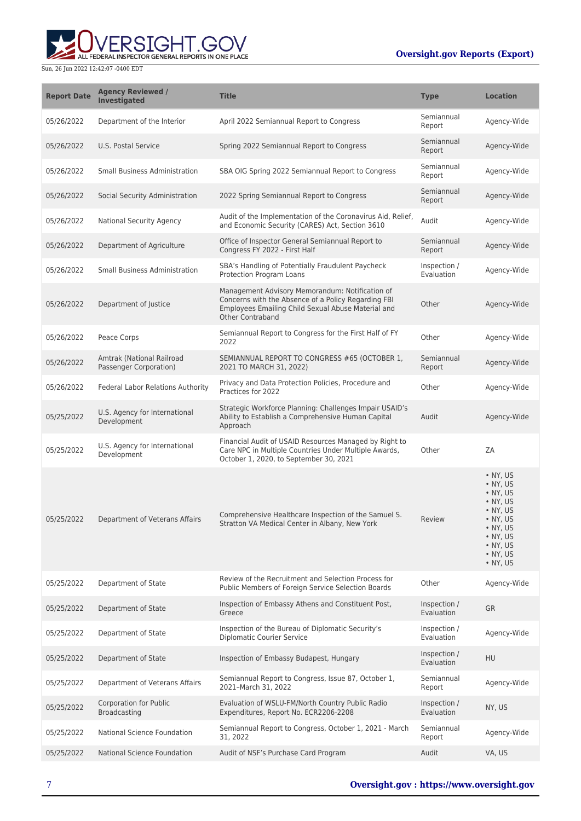# ERSIGHT.GOV ALL FEDERAL INSPECTOR GENERAL REPORTS IN ONE PLACE

#### **Oversight.gov Reports (Export)**

| <b>Report Date</b> | <b>Agency Reviewed /</b><br><b>Investigated</b>     | <b>Title</b>                                                                                                                                                                            | <b>Type</b>                | <b>Location</b>                                                                                                                                                        |
|--------------------|-----------------------------------------------------|-----------------------------------------------------------------------------------------------------------------------------------------------------------------------------------------|----------------------------|------------------------------------------------------------------------------------------------------------------------------------------------------------------------|
| 05/26/2022         | Department of the Interior                          | April 2022 Semiannual Report to Congress                                                                                                                                                | Semiannual<br>Report       | Agency-Wide                                                                                                                                                            |
| 05/26/2022         | <b>U.S. Postal Service</b>                          | Spring 2022 Semiannual Report to Congress                                                                                                                                               | Semiannual<br>Report       | Agency-Wide                                                                                                                                                            |
| 05/26/2022         | <b>Small Business Administration</b>                | SBA OIG Spring 2022 Semiannual Report to Congress                                                                                                                                       | Semiannual<br>Report       | Agency-Wide                                                                                                                                                            |
| 05/26/2022         | Social Security Administration                      | 2022 Spring Semiannual Report to Congress                                                                                                                                               | Semiannual<br>Report       | Agency-Wide                                                                                                                                                            |
| 05/26/2022         | National Security Agency                            | Audit of the Implementation of the Coronavirus Aid, Relief,<br>and Economic Security (CARES) Act, Section 3610                                                                          | Audit                      | Agency-Wide                                                                                                                                                            |
| 05/26/2022         | Department of Agriculture                           | Office of Inspector General Semiannual Report to<br>Congress FY 2022 - First Half                                                                                                       | Semiannual<br>Report       | Agency-Wide                                                                                                                                                            |
| 05/26/2022         | <b>Small Business Administration</b>                | SBA's Handling of Potentially Fraudulent Paycheck<br><b>Protection Program Loans</b>                                                                                                    | Inspection /<br>Evaluation | Agency-Wide                                                                                                                                                            |
| 05/26/2022         | Department of Justice                               | Management Advisory Memorandum: Notification of<br>Concerns with the Absence of a Policy Regarding FBI<br>Employees Emailing Child Sexual Abuse Material and<br><b>Other Contraband</b> | Other                      | Agency-Wide                                                                                                                                                            |
| 05/26/2022         | Peace Corps                                         | Semiannual Report to Congress for the First Half of FY<br>2022                                                                                                                          | Other                      | Agency-Wide                                                                                                                                                            |
| 05/26/2022         | Amtrak (National Railroad<br>Passenger Corporation) | SEMIANNUAL REPORT TO CONGRESS #65 (OCTOBER 1,<br>2021 TO MARCH 31, 2022)                                                                                                                | Semiannual<br>Report       | Agency-Wide                                                                                                                                                            |
| 05/26/2022         | <b>Federal Labor Relations Authority</b>            | Privacy and Data Protection Policies, Procedure and<br>Practices for 2022                                                                                                               | Other                      | Agency-Wide                                                                                                                                                            |
| 05/25/2022         | U.S. Agency for International<br>Development        | Strategic Workforce Planning: Challenges Impair USAID's<br>Ability to Establish a Comprehensive Human Capital<br>Approach                                                               | Audit                      | Agency-Wide                                                                                                                                                            |
| 05/25/2022         | U.S. Agency for International<br>Development        | Financial Audit of USAID Resources Managed by Right to<br>Care NPC in Multiple Countries Under Multiple Awards,<br>October 1, 2020, to September 30, 2021                               | Other                      | ZA                                                                                                                                                                     |
| 05/25/2022         | Department of Veterans Affairs                      | Comprehensive Healthcare Inspection of the Samuel S.<br>Stratton VA Medical Center in Albany, New York                                                                                  | Review                     | $\bullet$ NY, US<br>• NY, US<br>• NY, US<br>$\bullet$ NY, US<br>$\bullet$ NY, US<br>• NY, US<br>• NY, US<br>• NY, US<br>$\cdot$ NY, US<br>$\bullet$ NY, US<br>• NY, US |
| 05/25/2022         | Department of State                                 | Review of the Recruitment and Selection Process for<br>Public Members of Foreign Service Selection Boards                                                                               | Other                      | Agency-Wide                                                                                                                                                            |
| 05/25/2022         | Department of State                                 | Inspection of Embassy Athens and Constituent Post,<br>Greece                                                                                                                            | Inspection /<br>Evaluation | <b>GR</b>                                                                                                                                                              |
| 05/25/2022         | Department of State                                 | Inspection of the Bureau of Diplomatic Security's<br><b>Diplomatic Courier Service</b>                                                                                                  | Inspection /<br>Evaluation | Agency-Wide                                                                                                                                                            |
| 05/25/2022         | Department of State                                 | Inspection of Embassy Budapest, Hungary                                                                                                                                                 | Inspection /<br>Evaluation | <b>HU</b>                                                                                                                                                              |
| 05/25/2022         | Department of Veterans Affairs                      | Semiannual Report to Congress, Issue 87, October 1,<br>2021-March 31, 2022                                                                                                              | Semiannual<br>Report       | Agency-Wide                                                                                                                                                            |
| 05/25/2022         | <b>Corporation for Public</b><br>Broadcasting       | Evaluation of WSLU-FM/North Country Public Radio<br>Expenditures, Report No. ECR2206-2208                                                                                               | Inspection /<br>Evaluation | NY, US                                                                                                                                                                 |
| 05/25/2022         | National Science Foundation                         | Semiannual Report to Congress, October 1, 2021 - March<br>31, 2022                                                                                                                      | Semiannual<br>Report       | Agency-Wide                                                                                                                                                            |
| 05/25/2022         | National Science Foundation                         | Audit of NSF's Purchase Card Program                                                                                                                                                    | Audit                      | VA, US                                                                                                                                                                 |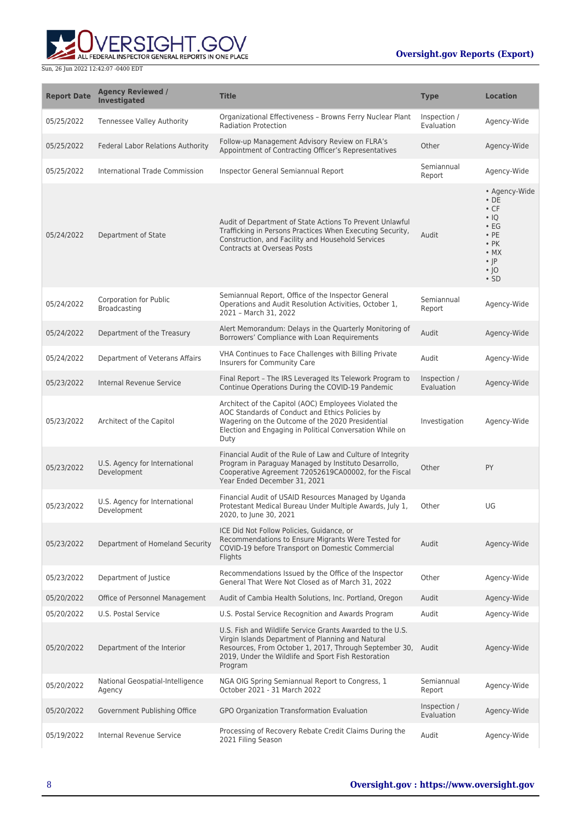

| <b>Report Date</b> | <b>Agency Reviewed /</b><br><b>Investigated</b> | <b>Title</b>                                                                                                                                                                                                                                     | <b>Type</b>                | <b>Location</b>                                                                                                                                             |
|--------------------|-------------------------------------------------|--------------------------------------------------------------------------------------------------------------------------------------------------------------------------------------------------------------------------------------------------|----------------------------|-------------------------------------------------------------------------------------------------------------------------------------------------------------|
| 05/25/2022         | <b>Tennessee Valley Authority</b>               | Organizational Effectiveness - Browns Ferry Nuclear Plant<br><b>Radiation Protection</b>                                                                                                                                                         | Inspection /<br>Evaluation | Agency-Wide                                                                                                                                                 |
| 05/25/2022         | Federal Labor Relations Authority               | Follow-up Management Advisory Review on FLRA's<br>Appointment of Contracting Officer's Representatives                                                                                                                                           | Other                      | Agency-Wide                                                                                                                                                 |
| 05/25/2022         | International Trade Commission                  | Inspector General Semiannual Report                                                                                                                                                                                                              | Semiannual<br>Report       | Agency-Wide                                                                                                                                                 |
| 05/24/2022         | Department of State                             | Audit of Department of State Actions To Prevent Unlawful<br>Trafficking in Persons Practices When Executing Security,<br>Construction, and Facility and Household Services<br><b>Contracts at Overseas Posts</b>                                 | Audit                      | • Agency-Wide<br>$\cdot$ DE<br>$\cdot$ CF<br>$\cdot$ IQ<br>$\cdot$ EG<br>$\cdot$ PE<br>$\cdot$ PK<br>$\bullet$ MX<br>$\cdot$  P<br>$\cdot$  O<br>$\cdot$ SD |
| 05/24/2022         | <b>Corporation for Public</b><br>Broadcasting   | Semiannual Report, Office of the Inspector General<br>Operations and Audit Resolution Activities, October 1,<br>2021 - March 31, 2022                                                                                                            | Semiannual<br>Report       | Agency-Wide                                                                                                                                                 |
| 05/24/2022         | Department of the Treasury                      | Alert Memorandum: Delays in the Quarterly Monitoring of<br>Borrowers' Compliance with Loan Requirements                                                                                                                                          | Audit                      | Agency-Wide                                                                                                                                                 |
| 05/24/2022         | Department of Veterans Affairs                  | VHA Continues to Face Challenges with Billing Private<br>Insurers for Community Care                                                                                                                                                             | Audit                      | Agency-Wide                                                                                                                                                 |
| 05/23/2022         | Internal Revenue Service                        | Final Report - The IRS Leveraged Its Telework Program to<br>Continue Operations During the COVID-19 Pandemic                                                                                                                                     | Inspection /<br>Evaluation | Agency-Wide                                                                                                                                                 |
| 05/23/2022         | Architect of the Capitol                        | Architect of the Capitol (AOC) Employees Violated the<br>AOC Standards of Conduct and Ethics Policies by<br>Wagering on the Outcome of the 2020 Presidential<br>Election and Engaging in Political Conversation While on<br>Duty                 | Investigation              | Agency-Wide                                                                                                                                                 |
| 05/23/2022         | U.S. Agency for International<br>Development    | Financial Audit of the Rule of Law and Culture of Integrity<br>Program in Paraguay Managed by Instituto Desarrollo,<br>Cooperative Agreement 72052619CA00002, for the Fiscal<br>Year Ended December 31, 2021                                     | Other                      | PY                                                                                                                                                          |
| 05/23/2022         | U.S. Agency for International<br>Development    | Financial Audit of USAID Resources Managed by Uganda<br>Protestant Medical Bureau Under Multiple Awards, July 1,<br>2020, to June 30, 2021                                                                                                       | Other                      | UG                                                                                                                                                          |
| 05/23/2022         | Department of Homeland Security                 | ICE Did Not Follow Policies, Guidance, or<br>Recommendations to Ensure Migrants Were Tested for<br>COVID-19 before Transport on Domestic Commercial<br>Flights                                                                                   | Audit                      | Agency-Wide                                                                                                                                                 |
| 05/23/2022         | Department of Justice                           | Recommendations Issued by the Office of the Inspector<br>General That Were Not Closed as of March 31, 2022                                                                                                                                       | Other                      | Agency-Wide                                                                                                                                                 |
| 05/20/2022         | Office of Personnel Management                  | Audit of Cambia Health Solutions, Inc. Portland, Oregon                                                                                                                                                                                          | Audit                      | Agency-Wide                                                                                                                                                 |
| 05/20/2022         | U.S. Postal Service                             | U.S. Postal Service Recognition and Awards Program                                                                                                                                                                                               | Audit                      | Agency-Wide                                                                                                                                                 |
| 05/20/2022         | Department of the Interior                      | U.S. Fish and Wildlife Service Grants Awarded to the U.S.<br>Virgin Islands Department of Planning and Natural<br>Resources, From October 1, 2017, Through September 30, Audit<br>2019, Under the Wildlife and Sport Fish Restoration<br>Program |                            | Agency-Wide                                                                                                                                                 |
| 05/20/2022         | National Geospatial-Intelligence<br>Agency      | NGA OIG Spring Semiannual Report to Congress, 1<br>October 2021 - 31 March 2022                                                                                                                                                                  | Semiannual<br>Report       | Agency-Wide                                                                                                                                                 |
| 05/20/2022         | Government Publishing Office                    | GPO Organization Transformation Evaluation                                                                                                                                                                                                       | Inspection /<br>Evaluation | Agency-Wide                                                                                                                                                 |
| 05/19/2022         | Internal Revenue Service                        | Processing of Recovery Rebate Credit Claims During the<br>2021 Filing Season                                                                                                                                                                     | Audit                      | Agency-Wide                                                                                                                                                 |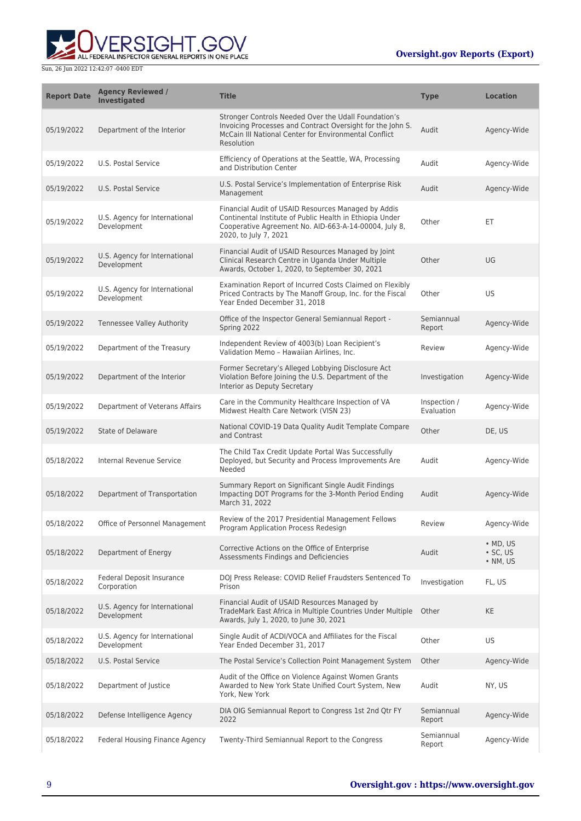

| <b>Report Date</b> | <b>Agency Reviewed /</b><br><b>Investigated</b> | <b>Title</b>                                                                                                                                                                                      | <b>Type</b>                | <b>Location</b>                                  |
|--------------------|-------------------------------------------------|---------------------------------------------------------------------------------------------------------------------------------------------------------------------------------------------------|----------------------------|--------------------------------------------------|
| 05/19/2022         | Department of the Interior                      | Stronger Controls Needed Over the Udall Foundation's<br>Invoicing Processes and Contract Oversight for the John S.<br>McCain III National Center for Environmental Conflict<br>Resolution         | Audit                      | Agency-Wide                                      |
| 05/19/2022         | U.S. Postal Service                             | Efficiency of Operations at the Seattle, WA, Processing<br>and Distribution Center                                                                                                                | Audit                      | Agency-Wide                                      |
| 05/19/2022         | U.S. Postal Service                             | U.S. Postal Service's Implementation of Enterprise Risk<br>Management                                                                                                                             | Audit                      | Agency-Wide                                      |
| 05/19/2022         | U.S. Agency for International<br>Development    | Financial Audit of USAID Resources Managed by Addis<br>Continental Institute of Public Health in Ethiopia Under<br>Cooperative Agreement No. AID-663-A-14-00004, July 8,<br>2020, to July 7, 2021 | Other                      | ET                                               |
| 05/19/2022         | U.S. Agency for International<br>Development    | Financial Audit of USAID Resources Managed by Joint<br>Clinical Research Centre in Uganda Under Multiple<br>Awards, October 1, 2020, to September 30, 2021                                        | Other                      | UG                                               |
| 05/19/2022         | U.S. Agency for International<br>Development    | Examination Report of Incurred Costs Claimed on Flexibly<br>Priced Contracts by The Manoff Group, Inc. for the Fiscal<br>Year Ended December 31, 2018                                             | Other                      | US                                               |
| 05/19/2022         | Tennessee Valley Authority                      | Office of the Inspector General Semiannual Report -<br>Spring 2022                                                                                                                                | Semiannual<br>Report       | Agency-Wide                                      |
| 05/19/2022         | Department of the Treasury                      | Independent Review of 4003(b) Loan Recipient's<br>Validation Memo - Hawaiian Airlines, Inc.                                                                                                       | Review                     | Agency-Wide                                      |
| 05/19/2022         | Department of the Interior                      | Former Secretary's Alleged Lobbying Disclosure Act<br>Violation Before Joining the U.S. Department of the<br>Interior as Deputy Secretary                                                         | Investigation              | Agency-Wide                                      |
| 05/19/2022         | Department of Veterans Affairs                  | Care in the Community Healthcare Inspection of VA<br>Midwest Health Care Network (VISN 23)                                                                                                        | Inspection /<br>Evaluation | Agency-Wide                                      |
| 05/19/2022         | State of Delaware                               | National COVID-19 Data Quality Audit Template Compare<br>and Contrast                                                                                                                             | Other                      | DE, US                                           |
| 05/18/2022         | Internal Revenue Service                        | The Child Tax Credit Update Portal Was Successfully<br>Deployed, but Security and Process Improvements Are<br>Needed                                                                              | Audit                      | Agency-Wide                                      |
| 05/18/2022         | Department of Transportation                    | Summary Report on Significant Single Audit Findings<br>Impacting DOT Programs for the 3-Month Period Ending<br>March 31, 2022                                                                     | Audit                      | Agency-Wide                                      |
| 05/18/2022         | Office of Personnel Management                  | Review of the 2017 Presidential Management Fellows<br>Program Application Process Redesign                                                                                                        | Review                     | Agency-Wide                                      |
| 05/18/2022         | Department of Energy                            | Corrective Actions on the Office of Enterprise<br>Assessments Findings and Deficiencies                                                                                                           | Audit                      | $·$ MD, US<br>$\cdot$ SC, US<br>$\bullet$ NM, US |
| 05/18/2022         | Federal Deposit Insurance<br>Corporation        | DOJ Press Release: COVID Relief Fraudsters Sentenced To<br>Prison                                                                                                                                 | Investigation              | FL, US                                           |
| 05/18/2022         | U.S. Agency for International<br>Development    | Financial Audit of USAID Resources Managed by<br>TradeMark East Africa in Multiple Countries Under Multiple<br>Awards, July 1, 2020, to June 30, 2021                                             | Other                      | KE                                               |
| 05/18/2022         | U.S. Agency for International<br>Development    | Single Audit of ACDI/VOCA and Affiliates for the Fiscal<br>Year Ended December 31, 2017                                                                                                           | Other                      | US                                               |
| 05/18/2022         | U.S. Postal Service                             | The Postal Service's Collection Point Management System                                                                                                                                           | Other                      | Agency-Wide                                      |
| 05/18/2022         | Department of Justice                           | Audit of the Office on Violence Against Women Grants<br>Awarded to New York State Unified Court System, New<br>York, New York                                                                     | Audit                      | NY, US                                           |
| 05/18/2022         | Defense Intelligence Agency                     | DIA OIG Semiannual Report to Congress 1st 2nd Qtr FY<br>2022                                                                                                                                      | Semiannual<br>Report       | Agency-Wide                                      |
| 05/18/2022         | Federal Housing Finance Agency                  | Twenty-Third Semiannual Report to the Congress                                                                                                                                                    | Semiannual<br>Report       | Agency-Wide                                      |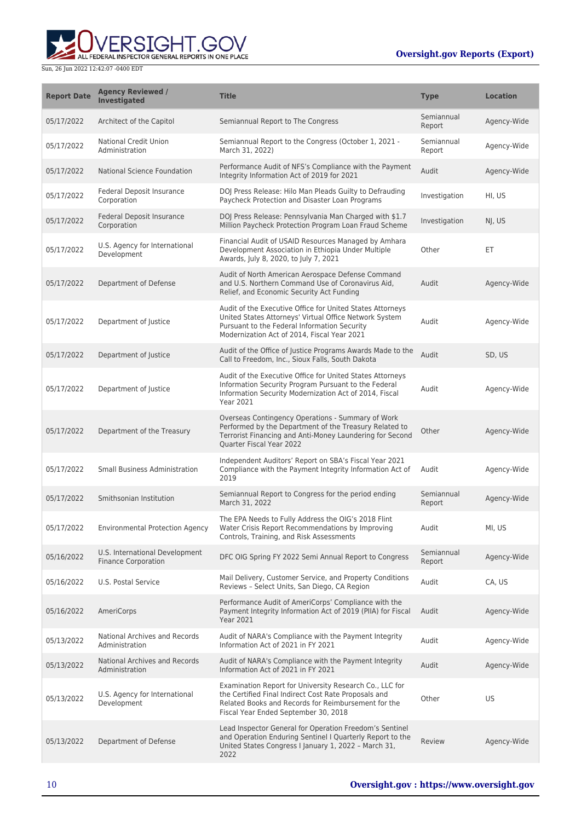

| <b>Report Date</b> | <b>Agency Reviewed /</b><br><b>Investigated</b>              | <b>Title</b>                                                                                                                                                                                                       | <b>Type</b>          | <b>Location</b> |
|--------------------|--------------------------------------------------------------|--------------------------------------------------------------------------------------------------------------------------------------------------------------------------------------------------------------------|----------------------|-----------------|
| 05/17/2022         | Architect of the Capitol                                     | Semiannual Report to The Congress                                                                                                                                                                                  | Semiannual<br>Report | Agency-Wide     |
| 05/17/2022         | <b>National Credit Union</b><br>Administration               | Semiannual Report to the Congress (October 1, 2021 -<br>March 31, 2022)                                                                                                                                            | Semiannual<br>Report | Agency-Wide     |
| 05/17/2022         | National Science Foundation                                  | Performance Audit of NFS's Compliance with the Payment<br>Integrity Information Act of 2019 for 2021                                                                                                               | Audit                | Agency-Wide     |
| 05/17/2022         | Federal Deposit Insurance<br>Corporation                     | DOJ Press Release: Hilo Man Pleads Guilty to Defrauding<br>Paycheck Protection and Disaster Loan Programs                                                                                                          | Investigation        | HI, US          |
| 05/17/2022         | Federal Deposit Insurance<br>Corporation                     | DOJ Press Release: Pennsylvania Man Charged with \$1.7<br>Million Paycheck Protection Program Loan Fraud Scheme                                                                                                    | Investigation        | NJ, US          |
| 05/17/2022         | U.S. Agency for International<br>Development                 | Financial Audit of USAID Resources Managed by Amhara<br>Development Association in Ethiopia Under Multiple<br>Awards, July 8, 2020, to July 7, 2021                                                                | Other                | ET              |
| 05/17/2022         | Department of Defense                                        | Audit of North American Aerospace Defense Command<br>and U.S. Northern Command Use of Coronavirus Aid,<br>Relief, and Economic Security Act Funding                                                                | Audit                | Agency-Wide     |
| 05/17/2022         | Department of Justice                                        | Audit of the Executive Office for United States Attorneys<br>United States Attorneys' Virtual Office Network System<br>Pursuant to the Federal Information Security<br>Modernization Act of 2014, Fiscal Year 2021 | Audit                | Agency-Wide     |
| 05/17/2022         | Department of Justice                                        | Audit of the Office of Justice Programs Awards Made to the<br>Call to Freedom, Inc., Sioux Falls, South Dakota                                                                                                     | Audit                | SD, US          |
| 05/17/2022         | Department of Justice                                        | Audit of the Executive Office for United States Attorneys<br>Information Security Program Pursuant to the Federal<br>Information Security Modernization Act of 2014, Fiscal<br>Year 2021                           | Audit                | Agency-Wide     |
| 05/17/2022         | Department of the Treasury                                   | Overseas Contingency Operations - Summary of Work<br>Performed by the Department of the Treasury Related to<br>Terrorist Financing and Anti-Money Laundering for Second<br>Quarter Fiscal Year 2022                | Other                | Agency-Wide     |
| 05/17/2022         | <b>Small Business Administration</b>                         | Independent Auditors' Report on SBA's Fiscal Year 2021<br>Compliance with the Payment Integrity Information Act of<br>2019                                                                                         | Audit                | Agency-Wide     |
| 05/17/2022         | Smithsonian Institution                                      | Semiannual Report to Congress for the period ending<br>March 31, 2022                                                                                                                                              | Semiannual<br>Report | Agency-Wide     |
| 05/17/2022         | <b>Environmental Protection Agency</b>                       | The EPA Needs to Fully Address the OIG's 2018 Flint<br>Water Crisis Report Recommendations by Improving<br>Controls, Training, and Risk Assessments                                                                | Audit                | MI, US          |
| 05/16/2022         | U.S. International Development<br><b>Finance Corporation</b> | DFC OIG Spring FY 2022 Semi Annual Report to Congress                                                                                                                                                              | Semiannual<br>Report | Agency-Wide     |
| 05/16/2022         | U.S. Postal Service                                          | Mail Delivery, Customer Service, and Property Conditions<br>Reviews - Select Units, San Diego, CA Region                                                                                                           | Audit                | CA, US          |
| 05/16/2022         | AmeriCorps                                                   | Performance Audit of AmeriCorps' Compliance with the<br>Payment Integrity Information Act of 2019 (PIIA) for Fiscal<br><b>Year 2021</b>                                                                            | Audit                | Agency-Wide     |
| 05/13/2022         | National Archives and Records<br>Administration              | Audit of NARA's Compliance with the Payment Integrity<br>Information Act of 2021 in FY 2021                                                                                                                        | Audit                | Agency-Wide     |
| 05/13/2022         | National Archives and Records<br>Administration              | Audit of NARA's Compliance with the Payment Integrity<br>Information Act of 2021 in FY 2021                                                                                                                        | Audit                | Agency-Wide     |
| 05/13/2022         | U.S. Agency for International<br>Development                 | Examination Report for University Research Co., LLC for<br>the Certified Final Indirect Cost Rate Proposals and<br>Related Books and Records for Reimbursement for the<br>Fiscal Year Ended September 30, 2018     | Other                | US              |
| 05/13/2022         | Department of Defense                                        | Lead Inspector General for Operation Freedom's Sentinel<br>and Operation Enduring Sentinel I Quarterly Report to the<br>United States Congress I January 1, 2022 - March 31,<br>2022                               | Review               | Agency-Wide     |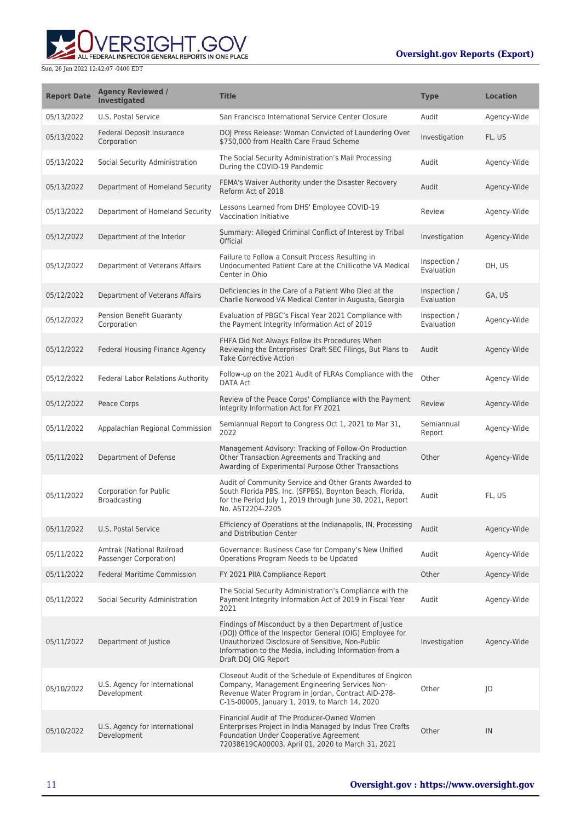ERSIGHT.GOV ALL FEDERAL INSPECTOR GENERAL REPORTS IN ONE PLACE

| <b>Report Date</b> | <b>Agency Reviewed /</b><br><b>Investigated</b>     | <b>Title</b>                                                                                                                                                                                                                                             | <b>Type</b>                | <b>Location</b> |
|--------------------|-----------------------------------------------------|----------------------------------------------------------------------------------------------------------------------------------------------------------------------------------------------------------------------------------------------------------|----------------------------|-----------------|
| 05/13/2022         | U.S. Postal Service                                 | San Francisco International Service Center Closure                                                                                                                                                                                                       | Audit                      | Agency-Wide     |
| 05/13/2022         | Federal Deposit Insurance<br>Corporation            | DOJ Press Release: Woman Convicted of Laundering Over<br>\$750,000 from Health Care Fraud Scheme                                                                                                                                                         | Investigation              | FL, US          |
| 05/13/2022         | Social Security Administration                      | The Social Security Administration's Mail Processing<br>During the COVID-19 Pandemic                                                                                                                                                                     | Audit                      | Agency-Wide     |
| 05/13/2022         | Department of Homeland Security                     | FEMA's Waiver Authority under the Disaster Recovery<br>Reform Act of 2018                                                                                                                                                                                | Audit                      | Agency-Wide     |
| 05/13/2022         | Department of Homeland Security                     | Lessons Learned from DHS' Employee COVID-19<br>Vaccination Initiative                                                                                                                                                                                    | Review                     | Agency-Wide     |
| 05/12/2022         | Department of the Interior                          | Summary: Alleged Criminal Conflict of Interest by Tribal<br>Official                                                                                                                                                                                     | Investigation              | Agency-Wide     |
| 05/12/2022         | Department of Veterans Affairs                      | Failure to Follow a Consult Process Resulting in<br>Undocumented Patient Care at the Chillicothe VA Medical<br>Center in Ohio                                                                                                                            | Inspection /<br>Evaluation | OH, US          |
| 05/12/2022         | Department of Veterans Affairs                      | Deficiencies in the Care of a Patient Who Died at the<br>Charlie Norwood VA Medical Center in Augusta, Georgia                                                                                                                                           | Inspection /<br>Evaluation | GA, US          |
| 05/12/2022         | <b>Pension Benefit Guaranty</b><br>Corporation      | Evaluation of PBGC's Fiscal Year 2021 Compliance with<br>the Payment Integrity Information Act of 2019                                                                                                                                                   | Inspection /<br>Evaluation | Agency-Wide     |
| 05/12/2022         | Federal Housing Finance Agency                      | FHFA Did Not Always Follow its Procedures When<br>Reviewing the Enterprises' Draft SEC Filings, But Plans to<br><b>Take Corrective Action</b>                                                                                                            | Audit                      | Agency-Wide     |
| 05/12/2022         | Federal Labor Relations Authority                   | Follow-up on the 2021 Audit of FLRAs Compliance with the<br>DATA Act                                                                                                                                                                                     | Other                      | Agency-Wide     |
| 05/12/2022         | Peace Corps                                         | Review of the Peace Corps' Compliance with the Payment<br>Integrity Information Act for FY 2021                                                                                                                                                          | Review                     | Agency-Wide     |
| 05/11/2022         | Appalachian Regional Commission                     | Semiannual Report to Congress Oct 1, 2021 to Mar 31,<br>2022                                                                                                                                                                                             | Semiannual<br>Report       | Agency-Wide     |
| 05/11/2022         | Department of Defense                               | Management Advisory: Tracking of Follow-On Production<br>Other Transaction Agreements and Tracking and<br>Awarding of Experimental Purpose Other Transactions                                                                                            | Other                      | Agency-Wide     |
| 05/11/2022         | Corporation for Public<br>Broadcasting              | Audit of Community Service and Other Grants Awarded to<br>South Florida PBS, Inc. (SFPBS), Boynton Beach, Florida,<br>for the Period July 1, 2019 through June 30, 2021, Report<br>No. AST2204-2205                                                      | Audit                      | FL, US          |
| 05/11/2022         | U.S. Postal Service                                 | Efficiency of Operations at the Indianapolis, IN, Processing<br>and Distribution Center                                                                                                                                                                  | Audit                      | Agency-Wide     |
| 05/11/2022         | Amtrak (National Railroad<br>Passenger Corporation) | Governance: Business Case for Company's New Unified<br>Operations Program Needs to be Updated                                                                                                                                                            | Audit                      | Agency-Wide     |
| 05/11/2022         | <b>Federal Maritime Commission</b>                  | FY 2021 PIIA Compliance Report                                                                                                                                                                                                                           | Other                      | Agency-Wide     |
| 05/11/2022         | Social Security Administration                      | The Social Security Administration's Compliance with the<br>Payment Integrity Information Act of 2019 in Fiscal Year<br>2021                                                                                                                             | Audit                      | Agency-Wide     |
| 05/11/2022         | Department of Justice                               | Findings of Misconduct by a then Department of Justice<br>(DOJ) Office of the Inspector General (OIG) Employee for<br>Unauthorized Disclosure of Sensitive, Non-Public<br>Information to the Media, including Information from a<br>Draft DOJ OIG Report | Investigation              | Agency-Wide     |
| 05/10/2022         | U.S. Agency for International<br>Development        | Closeout Audit of the Schedule of Expenditures of Engicon<br>Company, Management Engineering Services Non-<br>Revenue Water Program in Jordan, Contract AID-278-<br>C-15-00005, January 1, 2019, to March 14, 2020                                       | Other                      | O               |
| 05/10/2022         | U.S. Agency for International<br>Development        | Financial Audit of The Producer-Owned Women<br>Enterprises Project in India Managed by Indus Tree Crafts<br>Foundation Under Cooperative Agreement<br>72038619CA00003, April 01, 2020 to March 31, 2021                                                  | Other                      | IN              |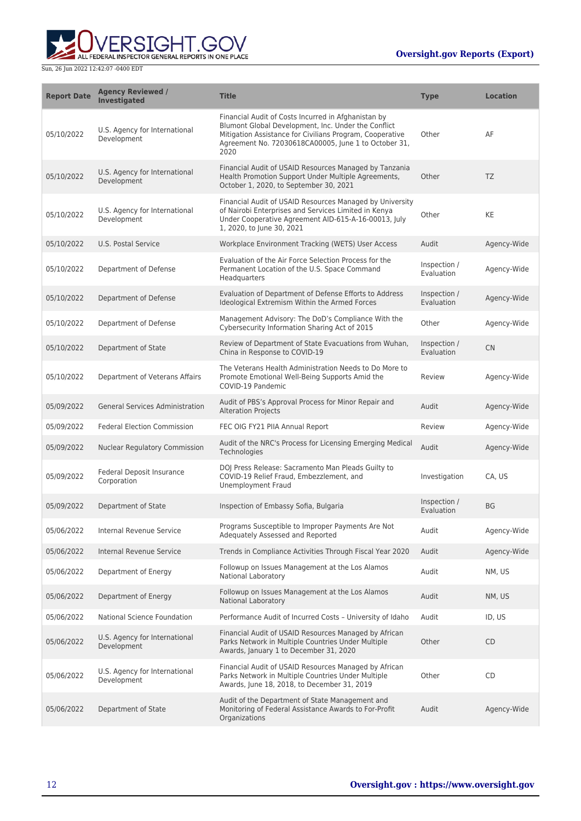

| <b>Report Date</b> | <b>Agency Reviewed /</b><br><b>Investigated</b> | <b>Title</b>                                                                                                                                                                                                                           | <b>Type</b>                | <b>Location</b> |
|--------------------|-------------------------------------------------|----------------------------------------------------------------------------------------------------------------------------------------------------------------------------------------------------------------------------------------|----------------------------|-----------------|
| 05/10/2022         | U.S. Agency for International<br>Development    | Financial Audit of Costs Incurred in Afghanistan by<br>Blumont Global Development, Inc. Under the Conflict<br>Mitigation Assistance for Civilians Program, Cooperative<br>Agreement No. 72030618CA00005, June 1 to October 31,<br>2020 | Other                      | AF              |
| 05/10/2022         | U.S. Agency for International<br>Development    | Financial Audit of USAID Resources Managed by Tanzania<br>Health Promotion Support Under Multiple Agreements,<br>October 1, 2020, to September 30, 2021                                                                                | Other                      | <b>TZ</b>       |
| 05/10/2022         | U.S. Agency for International<br>Development    | Financial Audit of USAID Resources Managed by University<br>of Nairobi Enterprises and Services Limited in Kenya<br>Under Cooperative Agreement AID-615-A-16-00013, July<br>1, 2020, to June 30, 2021                                  | Other                      | KE              |
| 05/10/2022         | U.S. Postal Service                             | Workplace Environment Tracking (WETS) User Access                                                                                                                                                                                      | Audit                      | Agency-Wide     |
| 05/10/2022         | Department of Defense                           | Evaluation of the Air Force Selection Process for the<br>Permanent Location of the U.S. Space Command<br>Headquarters                                                                                                                  | Inspection /<br>Evaluation | Agency-Wide     |
| 05/10/2022         | Department of Defense                           | Evaluation of Department of Defense Efforts to Address<br>Ideological Extremism Within the Armed Forces                                                                                                                                | Inspection /<br>Evaluation | Agency-Wide     |
| 05/10/2022         | Department of Defense                           | Management Advisory: The DoD's Compliance With the<br>Cybersecurity Information Sharing Act of 2015                                                                                                                                    | Other                      | Agency-Wide     |
| 05/10/2022         | Department of State                             | Review of Department of State Evacuations from Wuhan,<br>China in Response to COVID-19                                                                                                                                                 | Inspection /<br>Evaluation | <b>CN</b>       |
| 05/10/2022         | Department of Veterans Affairs                  | The Veterans Health Administration Needs to Do More to<br>Promote Emotional Well-Being Supports Amid the<br>COVID-19 Pandemic                                                                                                          | Review                     | Agency-Wide     |
| 05/09/2022         | <b>General Services Administration</b>          | Audit of PBS's Approval Process for Minor Repair and<br><b>Alteration Projects</b>                                                                                                                                                     | Audit                      | Agency-Wide     |
| 05/09/2022         | <b>Federal Election Commission</b>              | FEC OIG FY21 PIIA Annual Report                                                                                                                                                                                                        | Review                     | Agency-Wide     |
| 05/09/2022         | <b>Nuclear Regulatory Commission</b>            | Audit of the NRC's Process for Licensing Emerging Medical<br>Technologies                                                                                                                                                              | Audit                      | Agency-Wide     |
| 05/09/2022         | Federal Deposit Insurance<br>Corporation        | DOJ Press Release: Sacramento Man Pleads Guilty to<br>COVID-19 Relief Fraud, Embezzlement, and<br><b>Unemployment Fraud</b>                                                                                                            | Investigation              | CA, US          |
| 05/09/2022         | Department of State                             | Inspection of Embassy Sofia, Bulgaria                                                                                                                                                                                                  | Inspection /<br>Evaluation | <b>BG</b>       |
| 05/06/2022         | Internal Revenue Service                        | Programs Susceptible to Improper Payments Are Not<br>Adequately Assessed and Reported                                                                                                                                                  | Audit                      | Agency-Wide     |
| 05/06/2022         | <b>Internal Revenue Service</b>                 | Trends in Compliance Activities Through Fiscal Year 2020                                                                                                                                                                               | Audit                      | Agency-Wide     |
| 05/06/2022         | Department of Energy                            | Followup on Issues Management at the Los Alamos<br>National Laboratory                                                                                                                                                                 | Audit                      | NM, US          |
| 05/06/2022         | Department of Energy                            | Followup on Issues Management at the Los Alamos<br><b>National Laboratory</b>                                                                                                                                                          | Audit                      | NM, US          |
| 05/06/2022         | National Science Foundation                     | Performance Audit of Incurred Costs - University of Idaho                                                                                                                                                                              | Audit                      | ID, US          |
| 05/06/2022         | U.S. Agency for International<br>Development    | Financial Audit of USAID Resources Managed by African<br>Parks Network in Multiple Countries Under Multiple<br>Awards, January 1 to December 31, 2020                                                                                  | Other                      | <b>CD</b>       |
| 05/06/2022         | U.S. Agency for International<br>Development    | Financial Audit of USAID Resources Managed by African<br>Parks Network in Multiple Countries Under Multiple<br>Awards, June 18, 2018, to December 31, 2019                                                                             | Other                      | CD              |
| 05/06/2022         | Department of State                             | Audit of the Department of State Management and<br>Monitoring of Federal Assistance Awards to For-Profit<br>Organizations                                                                                                              | Audit                      | Agency-Wide     |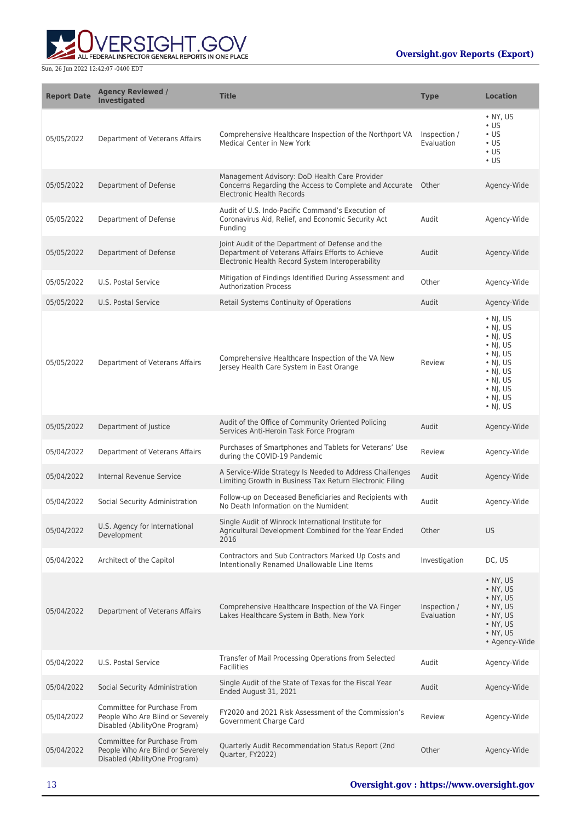



| <b>Report Date</b> | <b>Agency Reviewed /</b><br>Investigated                                                         | <b>Title</b>                                                                                                                                              | <b>Type</b>                | <b>Location</b>                                                                                                                                                                                    |
|--------------------|--------------------------------------------------------------------------------------------------|-----------------------------------------------------------------------------------------------------------------------------------------------------------|----------------------------|----------------------------------------------------------------------------------------------------------------------------------------------------------------------------------------------------|
| 05/05/2022         | Department of Veterans Affairs                                                                   | Comprehensive Healthcare Inspection of the Northport VA<br>Medical Center in New York                                                                     | Inspection /<br>Evaluation | $\bullet$ NY, US<br>$\cdot$ US<br>$\cdot$ US<br>$\cdot$ US<br>$\cdot$ US<br>$\cdot$ US                                                                                                             |
| 05/05/2022         | Department of Defense                                                                            | Management Advisory: DoD Health Care Provider<br>Concerns Regarding the Access to Complete and Accurate Other<br><b>Electronic Health Records</b>         |                            | Agency-Wide                                                                                                                                                                                        |
| 05/05/2022         | Department of Defense                                                                            | Audit of U.S. Indo-Pacific Command's Execution of<br>Coronavirus Aid, Relief, and Economic Security Act<br>Funding                                        | Audit                      | Agency-Wide                                                                                                                                                                                        |
| 05/05/2022         | Department of Defense                                                                            | Joint Audit of the Department of Defense and the<br>Department of Veterans Affairs Efforts to Achieve<br>Electronic Health Record System Interoperability | Audit                      | Agency-Wide                                                                                                                                                                                        |
| 05/05/2022         | U.S. Postal Service                                                                              | Mitigation of Findings Identified During Assessment and<br><b>Authorization Process</b>                                                                   | Other                      | Agency-Wide                                                                                                                                                                                        |
| 05/05/2022         | U.S. Postal Service                                                                              | Retail Systems Continuity of Operations                                                                                                                   | Audit                      | Agency-Wide                                                                                                                                                                                        |
| 05/05/2022         | Department of Veterans Affairs                                                                   | Comprehensive Healthcare Inspection of the VA New<br>Jersey Health Care System in East Orange                                                             | Review                     | $\cdot$ NJ, US<br>$\cdot$ NJ, US<br>$\cdot$ NJ, US<br>$\cdot$ NJ, US<br>$\cdot$ NJ, US<br>$\cdot$ NJ, US<br>$\cdot$ NJ, US<br>$\cdot$ NJ, US<br>$\cdot$ NJ, US<br>$\cdot$ NJ, US<br>$\cdot$ NJ, US |
| 05/05/2022         | Department of Justice                                                                            | Audit of the Office of Community Oriented Policing<br>Services Anti-Heroin Task Force Program                                                             | Audit                      | Agency-Wide                                                                                                                                                                                        |
| 05/04/2022         | Department of Veterans Affairs                                                                   | Purchases of Smartphones and Tablets for Veterans' Use<br>during the COVID-19 Pandemic                                                                    | Review                     | Agency-Wide                                                                                                                                                                                        |
| 05/04/2022         | Internal Revenue Service                                                                         | A Service-Wide Strategy Is Needed to Address Challenges<br>Limiting Growth in Business Tax Return Electronic Filing                                       | Audit                      | Agency-Wide                                                                                                                                                                                        |
| 05/04/2022         | Social Security Administration                                                                   | Follow-up on Deceased Beneficiaries and Recipients with<br>No Death Information on the Numident                                                           | Audit                      | Agency-Wide                                                                                                                                                                                        |
| 05/04/2022         | U.S. Agency for International<br>Development                                                     | Single Audit of Winrock International Institute for<br>Agricultural Development Combined for the Year Ended<br>2016                                       | Other                      | <b>US</b>                                                                                                                                                                                          |
| 05/04/2022         | Architect of the Capitol                                                                         | Contractors and Sub Contractors Marked Up Costs and<br>Intentionally Renamed Unallowable Line Items                                                       | Investigation              | DC, US                                                                                                                                                                                             |
| 05/04/2022         | Department of Veterans Affairs                                                                   | Comprehensive Healthcare Inspection of the VA Finger<br>Lakes Healthcare System in Bath, New York                                                         | Inspection /<br>Evaluation | $\bullet$ NY, US<br>• NY, US<br>• NY, US<br>• NY, US<br>• NY, US<br>• NY, US<br>$\bullet$ NY, US<br>• Agency-Wide                                                                                  |
| 05/04/2022         | U.S. Postal Service                                                                              | Transfer of Mail Processing Operations from Selected<br><b>Facilities</b>                                                                                 | Audit                      | Agency-Wide                                                                                                                                                                                        |
| 05/04/2022         | Social Security Administration                                                                   | Single Audit of the State of Texas for the Fiscal Year<br>Ended August 31, 2021                                                                           | Audit                      | Agency-Wide                                                                                                                                                                                        |
| 05/04/2022         | Committee for Purchase From<br>People Who Are Blind or Severely<br>Disabled (AbilityOne Program) | FY2020 and 2021 Risk Assessment of the Commission's<br>Government Charge Card                                                                             | Review                     | Agency-Wide                                                                                                                                                                                        |
| 05/04/2022         | Committee for Purchase From<br>People Who Are Blind or Severely<br>Disabled (AbilityOne Program) | Quarterly Audit Recommendation Status Report (2nd<br>Quarter, FY2022)                                                                                     | Other                      | Agency-Wide                                                                                                                                                                                        |